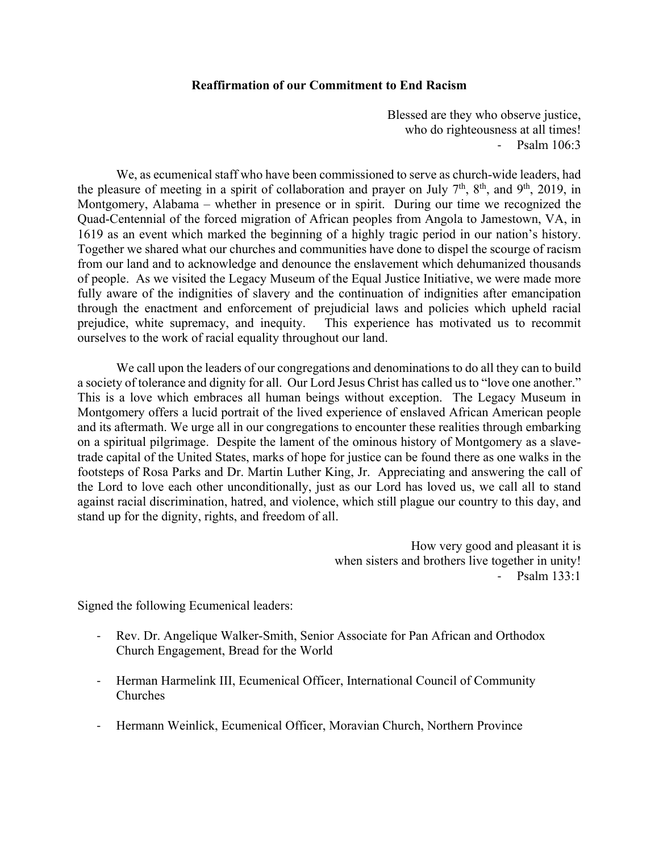## **Reaffirmation of our Commitment to End Racism**

Blessed are they who observe justice, who do righteousness at all times! ‐ Psalm 106:3

We, as ecumenical staff who have been commissioned to serve as church-wide leaders, had the pleasure of meeting in a spirit of collaboration and prayer on July  $7<sup>th</sup>$ ,  $8<sup>th</sup>$ , and  $9<sup>th</sup>$ , 2019, in Montgomery, Alabama – whether in presence or in spirit. During our time we recognized the Quad-Centennial of the forced migration of African peoples from Angola to Jamestown, VA, in 1619 as an event which marked the beginning of a highly tragic period in our nation's history. Together we shared what our churches and communities have done to dispel the scourge of racism from our land and to acknowledge and denounce the enslavement which dehumanized thousands of people. As we visited the Legacy Museum of the Equal Justice Initiative, we were made more fully aware of the indignities of slavery and the continuation of indignities after emancipation through the enactment and enforcement of prejudicial laws and policies which upheld racial prejudice, white supremacy, and inequity. This experience has motivated us to recommit ourselves to the work of racial equality throughout our land.

We call upon the leaders of our congregations and denominations to do all they can to build a society of tolerance and dignity for all. Our Lord Jesus Christ has called us to "love one another." This is a love which embraces all human beings without exception. The Legacy Museum in Montgomery offers a lucid portrait of the lived experience of enslaved African American people and its aftermath. We urge all in our congregations to encounter these realities through embarking on a spiritual pilgrimage. Despite the lament of the ominous history of Montgomery as a slavetrade capital of the United States, marks of hope for justice can be found there as one walks in the footsteps of Rosa Parks and Dr. Martin Luther King, Jr. Appreciating and answering the call of the Lord to love each other unconditionally, just as our Lord has loved us, we call all to stand against racial discrimination, hatred, and violence, which still plague our country to this day, and stand up for the dignity, rights, and freedom of all.

> How very good and pleasant it is when sisters and brothers live together in unity! ‐ Psalm 133:1

Signed the following Ecumenical leaders:

- ‐ Rev. Dr. Angelique Walker-Smith, Senior Associate for Pan African and Orthodox Church Engagement, Bread for the World
- ‐ Herman Harmelink III, Ecumenical Officer, International Council of Community Churches
- ‐ Hermann Weinlick, Ecumenical Officer, Moravian Church, Northern Province